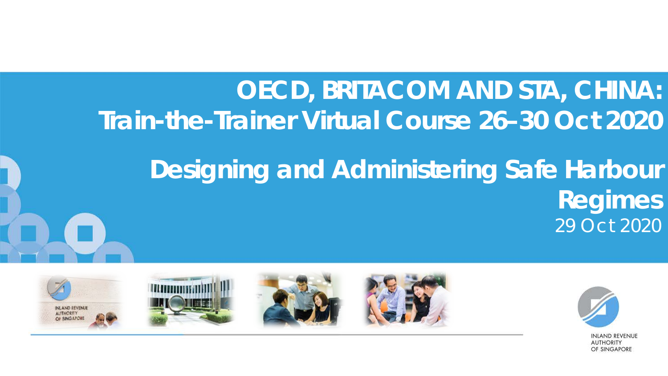#### **OECD, BRITACOM AND STA, CHINA: Train-the-Trainer Virtual Course 26–30 Oct 2020**

#### **Designing and Administering Safe Harbour Regimes** 29 Oct 2020



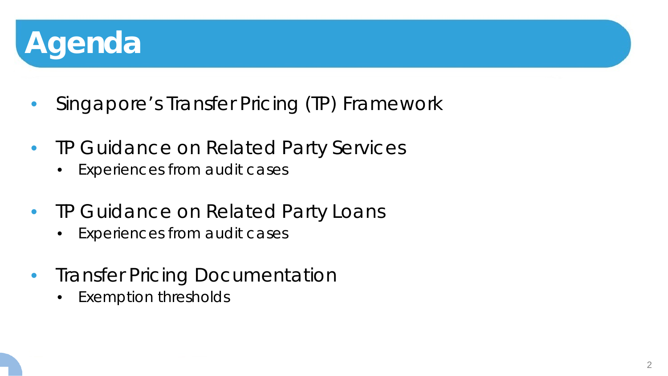

- Singapore's Transfer Pricing (TP) Framework
- TP Guidance on Related Party Services
	- Experiences from audit cases
- TP Guidance on Related Party Loans
	- Experiences from audit cases
- Transfer Pricing Documentation
	- Exemption thresholds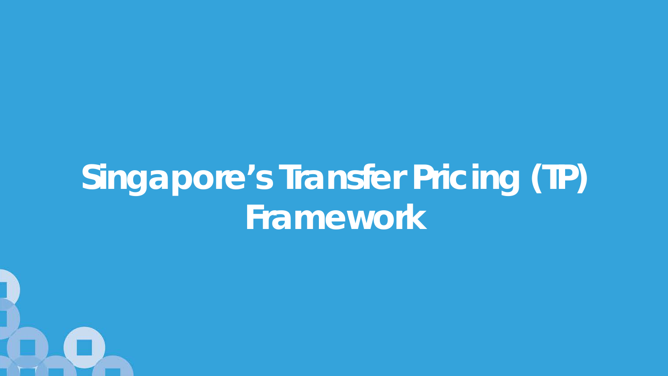# **Singapore's Transfer Pricing (TP) Framework**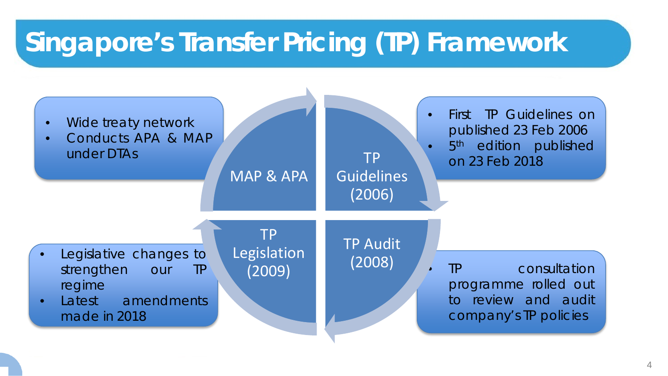## **Singapore's Transfer Pricing (TP) Framework**

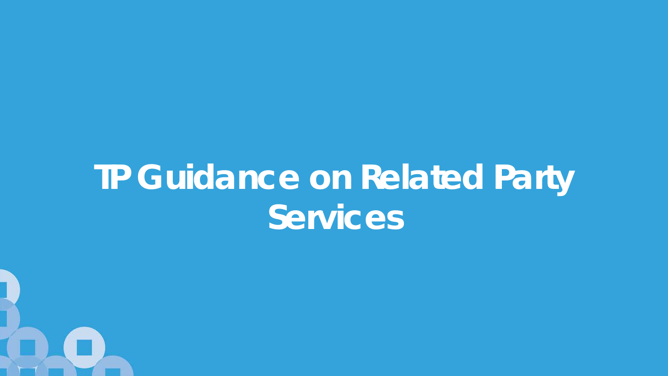# **TP Guidance on Related Party Services**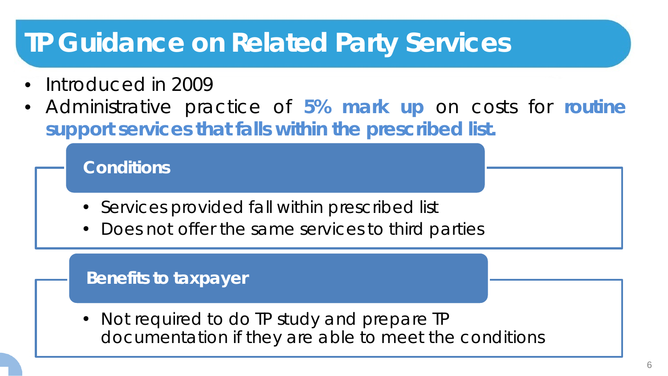#### **TP Guidance on Related Party Services**

- Introduced in 2009
- Administrative practice of **5% mark up** on costs for **routine support services that falls within the prescribed list.**

**Conditions**

- Services provided fall within prescribed list
- Does not offer the same services to third parties

#### **Benefits to taxpayer**

• Not required to do TP study and prepare TP documentation if they are able to meet the conditions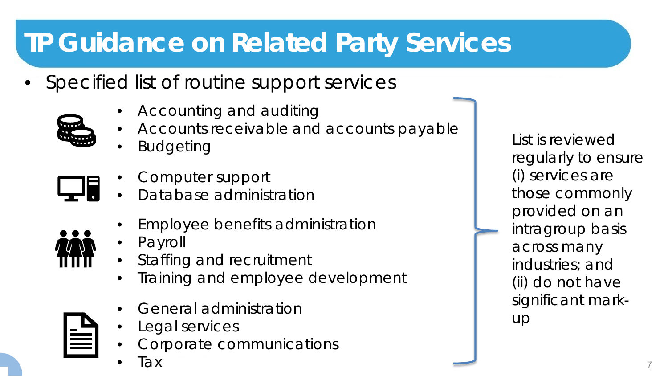## **TP Guidance on Related Party Services**

- Specified list of routine support services
	- Accounting and auditing
	- Accounts receivable and accounts payable
	- **Budgeting**

- Computer support
- Database administration
	- Employee benefits administration
	- Payroll
	- Staffing and recruitment
	- Training and employee development
	- General administration
	- Legal services
	- Corporate communications
	- Tax

List is reviewed regularly to ensure (i) services are those commonly provided on an intragroup basis across many industries; and (ii) do not have significant markup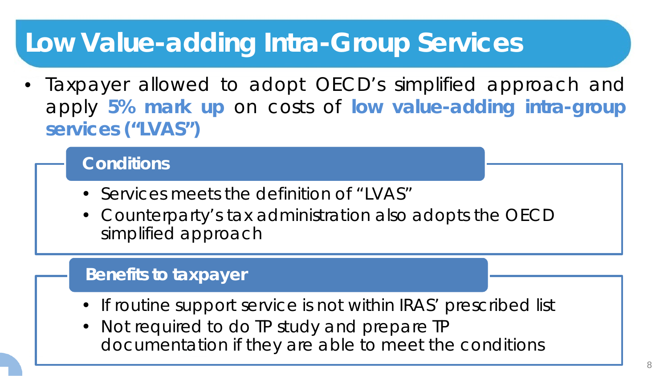#### **Low Value-adding Intra-Group Services**

• Taxpayer allowed to adopt OECD's simplified approach and apply **5% mark up** on costs of **low value-adding intra-group services ("LVAS")**

**Conditions**

- Services meets the definition of "LVAS"
- Counterparty's tax administration also adopts the OECD simplified approach

#### **Benefits to taxpayer**

- If routine support service is not within IRAS' prescribed list
- Not required to do TP study and prepare TP documentation if they are able to meet the conditions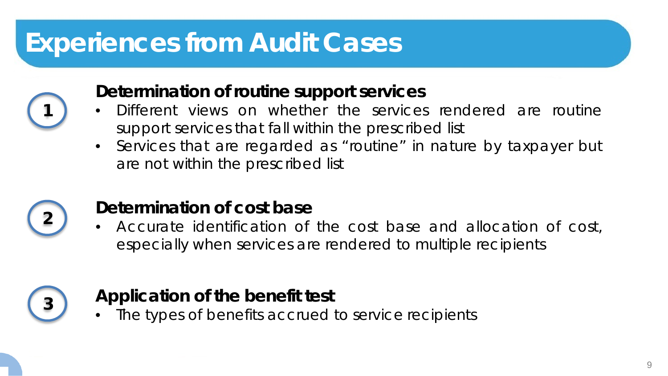### **Experiences from Audit Cases**



#### **Determination of routine support services**

- Different views on whether the services rendered are routine support services that fall within the prescribed list
- Services that are regarded as "routine" in nature by taxpayer but are not within the prescribed list



#### **<sup>2</sup> Determination of cost base**

• Accurate identification of the cost base and allocation of cost, especially when services are rendered to multiple recipients



#### **<sup>3</sup> Application of the benefit test**

The types of benefits accrued to service recipients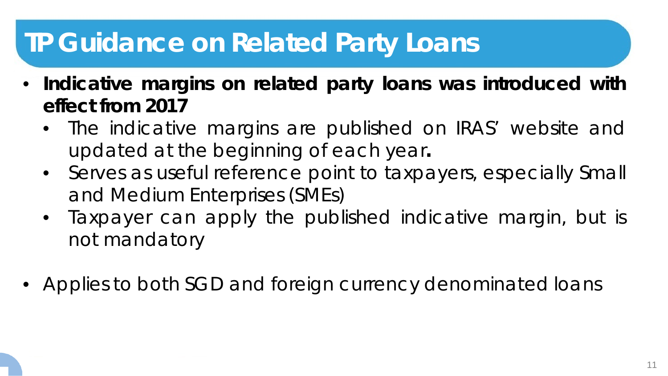- **Indicative margins on related party loans was introduced with effect from 2017**
	- The indicative margins are published on IRAS' website and updated at the beginning of each year**.**
	- Serves as useful reference point to taxpayers, especially Small and Medium Enterprises (SMEs)
	- Taxpayer can apply the published indicative margin, but is not mandatory
- Applies to both SGD and foreign currency denominated loans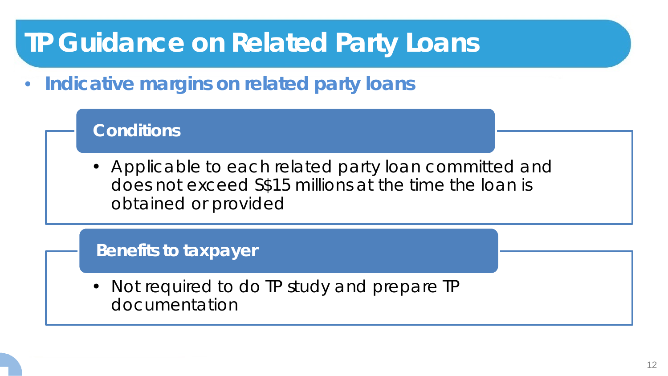• **Indicative margins on related party loans**

#### **Conditions**

• Applicable to each related party loan committed and does not exceed S\$15 millions at the time the loan is obtained or provided

#### **Benefits to taxpayer**

• Not required to do TP study and prepare TP documentation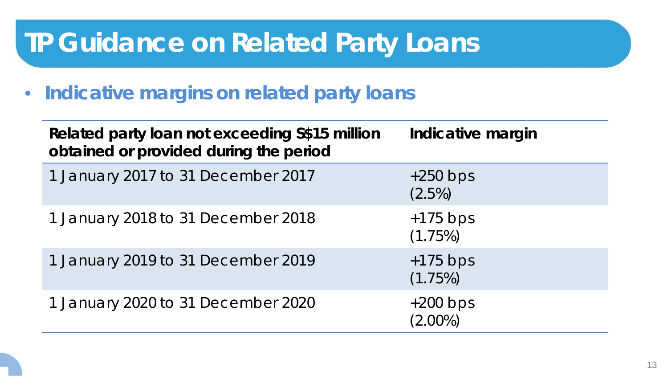• **Indicative margins on related party loans**

| Related party loan not exceeding S\$15 million<br>obtained or provided during the period | Indicative margin        |
|------------------------------------------------------------------------------------------|--------------------------|
| 1 January 2017 to 31 December 2017                                                       | $+250$ bps<br>$(2.5\%)$  |
| 1 January 2018 to 31 December 2018                                                       | $+175$ bps<br>(1.75%)    |
| 1 January 2019 to 31 December 2019                                                       | $+175$ bps<br>(1.75%)    |
| 1 January 2020 to 31 December 2020                                                       | $+200$ bps<br>$(2.00\%)$ |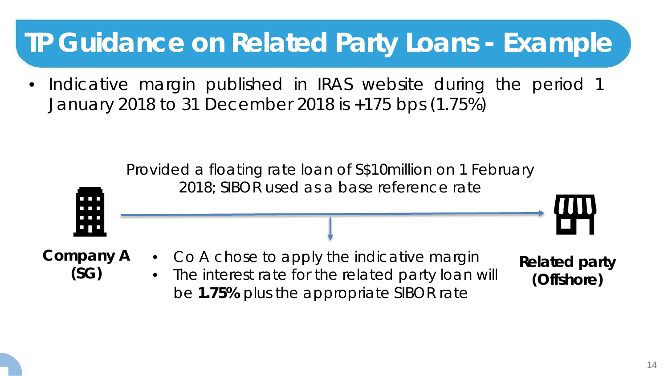### **TP Guidance on Related Party Loans - Example**

• Indicative margin published in IRAS website during the period 1 January 2018 to 31 December 2018 is +175 bps (1.75%)

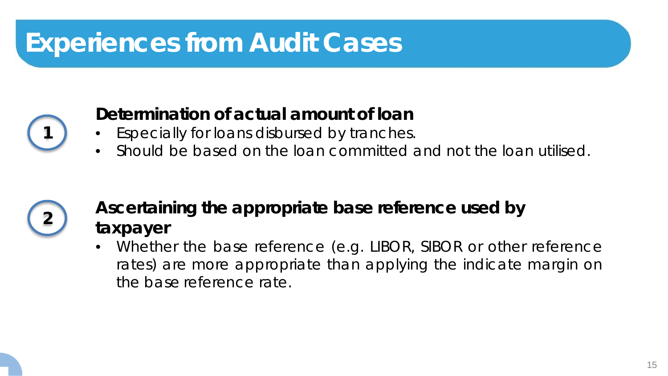## **Experiences from Audit Cases**



#### **Determination of actual amount of loan**

- Especially for loans disbursed by tranches.
- Should be based on the loan committed and not the loan utilised.



#### **<sup>2</sup> Ascertaining the appropriate base reference used by taxpayer**

• Whether the base reference (e.g. LIBOR, SIBOR or other reference rates) are more appropriate than applying the indicate margin on the base reference rate.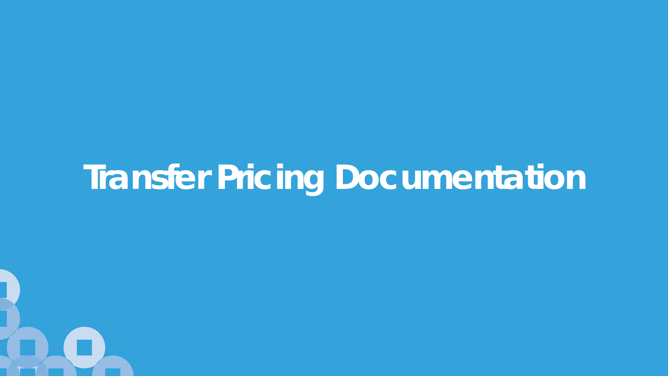# **Transfer Pricing Documentation**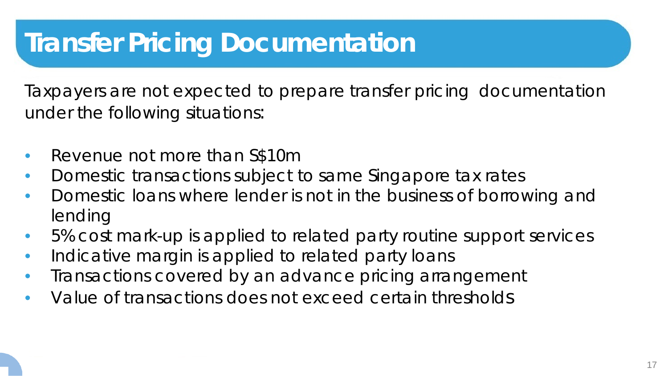### **Transfer Pricing Documentation**

Taxpayers are not expected to prepare transfer pricing documentation under the following situations:

- Revenue not more than S\$10m
- Domestic transactions subject to same Singapore tax rates
- Domestic loans where lender is not in the business of borrowing and lending
- 5% cost mark-up is applied to related party routine support services
- Indicative margin is applied to related party loans
- Transactions covered by an advance pricing arrangement
- Value of transactions does not exceed certain thresholds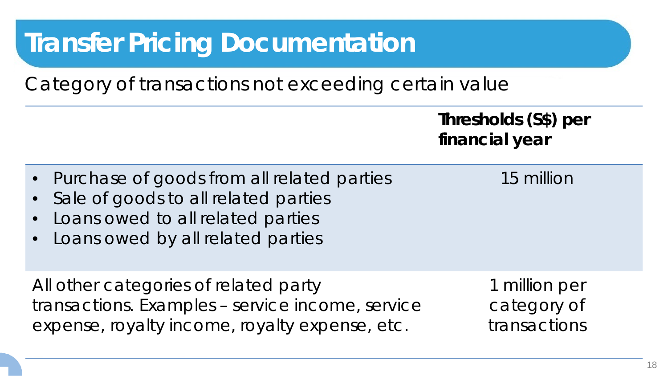## **Transfer Pricing Documentation**

Category of transactions not exceeding certain value

**Thresholds (S\$) per financial year**

- Purchase of goods from all related parties
- Sale of goods to all related parties
- Loans owed to all related parties
- Loans owed by all related parties

All other categories of related party transactions. Examples – service income, service expense, royalty income, royalty expense, etc.

1 million per category of transactions

15 million